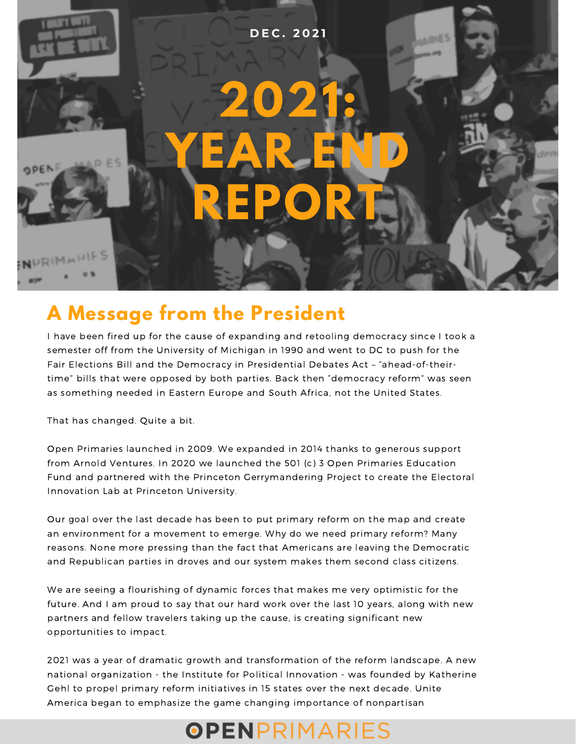

#### **A Message from the President**

I have been fired up for the cause of expanding and retooling democracy since I took a semester off from the University of Michigan in 1990 and went to DC to push for the Fair Elections Bill and the Democracy in Presidential Debates Act – "ahead-of-theirtime" bills that were opposed by both parties. Back then "democracy reform" was seen as something needed in Eastern Europe and South Africa, not the United States.

That has changed. Quite a bit.

Open Primaries launched in 2009. We expanded in 2014 thanks to generous support from Arnold Ventures. In 2020 we launched the 501 (c) 3 Open Primaries Education Fund and partnered with the Princeton Gerrymandering Project to create the Electoral Innovation Lab at Princeton University.

Our goal over the last decade has been to put primary reform on the map and create an environment for a movement to emerge. Why do we need primary reform? Many reasons. None more pressing than the fact that Americans are leaving the Democratic and Republican parties in droves and our system makes them second class citizens.

We are seeing a flourishing of dynamic forces that makes me very optimistic for the future. And I am proud to say that our hard work over the last 10 years, along with new partners and fellow travelers taking up the cause, is creating significant new opportunities to impact.

2021 was a year of dramatic growth and transformation of the reform landscape. A new national organization - the Institute for Political Innovation - was founded by Katherine Gehl to propel primary reform initiatives in 15 states over the next decade. Unite America began to emphasize the game changing importance of nonpartisan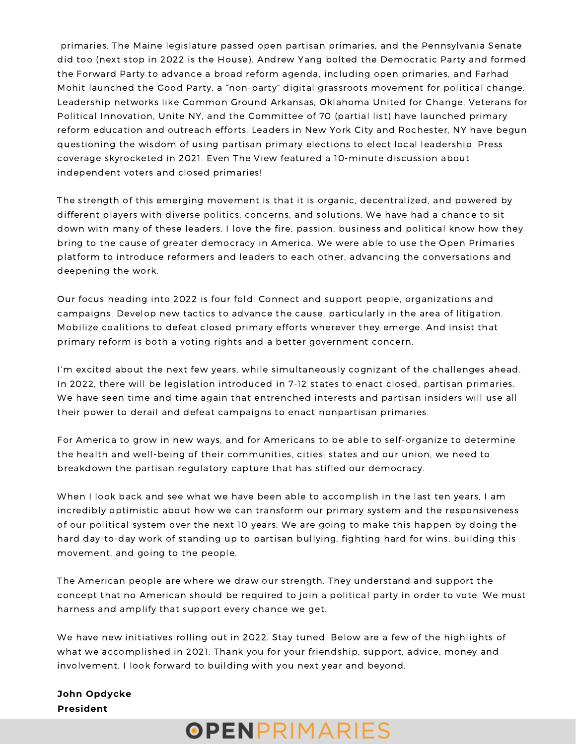primaries. The Maine legislature passed open partisan primaries, and the Pennsylvania Senate did too (next stop in 2022 is the House). Andrew Yang bolted the Democratic Party and formed the Forward Party to advance a broad reform agenda, including open primaries, and Farhad Mohit launched the Good Party, a "non-party" digital grassroots movement for political change. Leadership networks like Common Ground Arkansas, Oklahoma United for Change, Veterans for Political Innovation, Unite NY, and the Committee of 70 (partial list) have launched primary reform education and outreach efforts. Leaders in New York City and Rochester, NY have begun questioning the wisdom of using partisan primary elections to elect local leadership. Press coverage skyrocketed in 2021. Even The View featured a 10-minute discussion about independent voters and closed primaries!

The strength of this emerging movement is that it is organic, decentralized, and powered by different players with diverse politics, concerns, and solutions. We have had a chance to sit down with many of these leaders. I love the fire, passion, business and political know how they bring to the cause of greater democracy in America. We were able to use the Open Primaries platform to introduce reformers and leaders to each other, advancing the conversations and deepening the work.

Our focus heading into 2022 is four fold: Connect and support people, organizations and campaigns. Develop new tactics to advance the cause, particularly in the area of litigation. Mobilize coalitions to defeat closed primary efforts wherever they emerge. And insist that primary reform is both a voting rights and a better government concern.

I'm excited about the next few years, while simultaneously cognizant of the challenges ahead. In 2022, there will be legislation introduced in 7-12 states to enact closed, partisan primaries. We have seen time and time again that entrenched interests and partisan insiders will use all their power to derail and defeat campaigns to enact nonpartisan primaries.

For America to grow in new ways, and for Americans to be able to self-organize to determine the health and well-being of their communities, cities, states and our union, we need to breakdown the partisan regulatory capture that has stifled our democracy.

When I look back and see what we have been able to accomplish in the last ten years, I am incredibly optimistic about how we can transform our primary system and the responsiveness of our political system over the next 10 years. We are going to make this happen by doing the hard day-to-day work of standing up to partisan bullying, fighting hard for wins, building this movement, and going to the people.

The American people are where we draw our strength. They understand and support the concept that no American should be required to join a political party in order to vote. We must harness and amplify that support every chance we get.

We have new initiatives rolling out in 2022. Stay tuned. Below are a few of the highlights of what we accomplished in 2021. Thank you for your friendship, support, advice, money and involvement. I look forward to building with you next year and beyond.

#### **John Opdycke President**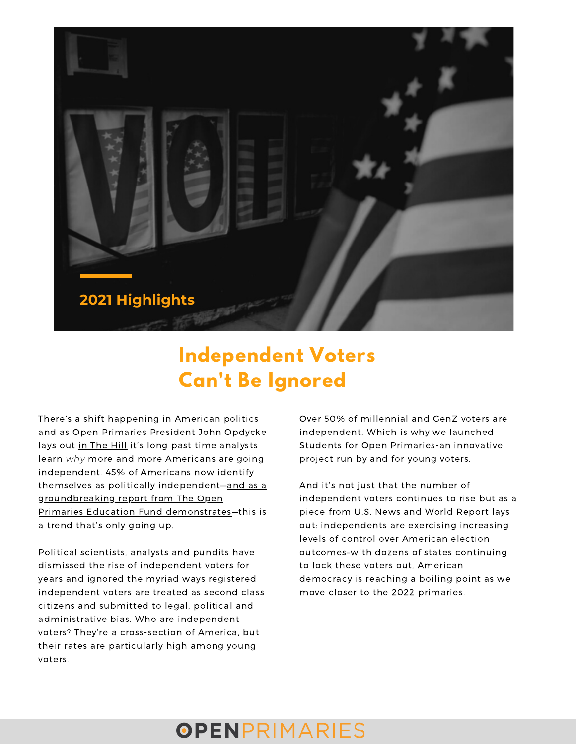

#### **Independent Voters Can't Be Ignored**

There's a shift happening in American politics and as Open Primaries President John Opdycke lays out in [The](https://www.openprimaries.org/r?u=qyDi432GwqzcezEbr9kAv3Sk9ITV4xyJ2IK-lA6A7yVKi2n_m1T4uiMm3UG9gn5Kn7qDZkVb3rI4lwykkviYntKxM3dMHpk9ouz6oeM7UzeJ0CSgFrXJiFoVgt83kPrXuQYhPkjKnKaUP0qB_P04alrk_h96YEzuBz5_k8-qDNA&e=1ba8323602626f1d0dc89b897f353b0d&utm_source=openprimaries&utm_medium=email&utm_campaign=2021_end_of_year_newsletter&n=2&test_email=1) Hill it's long past time analysts learn *why* more and more Americans are going independent. 45% of Americans now identify themselves as politically independent—and as a groundbreaking report from The Open Primaries Education Fund [demonstrates—this](https://www.openprimaries.org/r?u=gWF-albHZ4TKmJXpf4QCJlbQZKO2ND8KTsKajBzqXgu_6D73W_uScTYmd1m18RfBJiAE7dBSdy6rjSOTGi72FmRFm-_GY5peHn8dAzD_fghY1AZJYQ5y5xb8T4_1ngsI&e=1ba8323602626f1d0dc89b897f353b0d&utm_source=openprimaries&utm_medium=email&utm_campaign=2021_end_of_year_newsletter&n=3&test_email=1) is a trend that's only going up.

Political scientists, analysts and pundits have dismissed the rise of independent voters for years and ignored the myriad ways registered independent voters are treated as second class citizens and submitted to legal, political and administrative bias. Who are independent voters? They're a cross-section of America, but their rates are particularly high among young voters.

Over 50% of millennial and GenZ voters are independent. Which is why we launched Students for Open [Primaries](https://www.openprimaries.org/r?u=4os4ouAqfJiE09hKEKPF8Unkwwakn34C-YJvVESWcMX3S__moWQ-Cha3Dy59DDQp&e=1ba8323602626f1d0dc89b897f353b0d&utm_source=openprimaries&utm_medium=email&utm_campaign=2021_end_of_year_newsletter&n=4&test_email=1)-an innovative project run by and for young voters.

And it's not just that the number of independent voters continues to rise but as a piece from U.S. News and World Report lays out: [independents](https://www.openprimaries.org/r?u=NEZdcQ7pys08U_3w7jGralc9ApD4rZF_y-150dDL_6C09mV53PJjkR9MyZdOjIhzykEeHqZ8WppqfiVeApRwXMMi2LjRx1zkrxgdShcd5YmmwjO5jr1b7PqrrfroTdjNhb2ZILCXXiAdSIWvl2tM2gp9qrWGGLCic3ECS48LZnGhChsJeYE2jo8vEG6knkk2&e=1ba8323602626f1d0dc89b897f353b0d&utm_source=openprimaries&utm_medium=email&utm_campaign=2021_end_of_year_newsletter&n=5&test_email=1) are exercising increasing levels of control over American election outcomes–with dozens of states continuing to lock these voters out, American democracy is reaching a boiling point as we move closer to the 2022 primaries.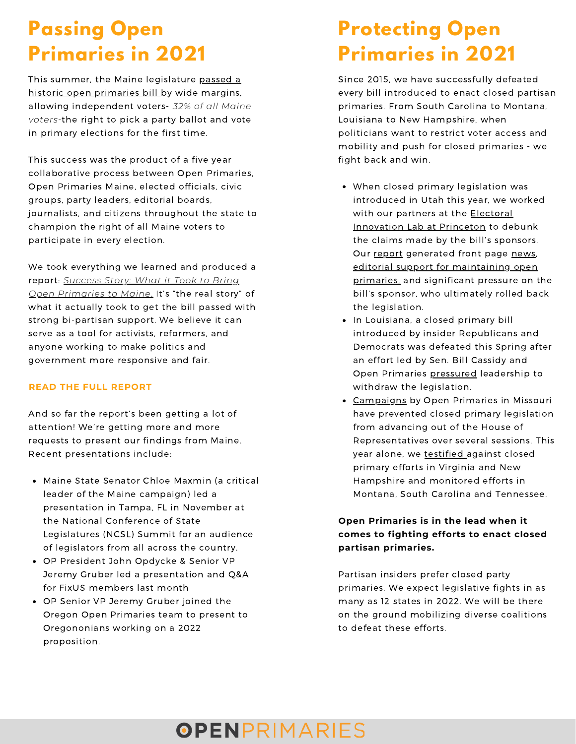## **Passing Open Primaries in 2021**

This summer, the Maine [legislature](https://www.openprimaries.org/r?u=7EL176YFyxKF3ox3wD2rUSutVtMz-P3NYP_6cCEQLmbAQVvvWpwOvIkf-BAkuXSNjj6w6Y3QfgrIolR2d56tMnLogIWJJkUdZCITUHKJtmPu4w2sp0g35yiTrBU1hh_7dQmyYjmKv9f8X1aE_0aD4XAexh_iuTu3vWcRogOdYuNrornnWrNR7QHe3g2zO6nnf5lxHmUxbk2gazqoNs83uHKVwk7uXGCEqKrKbRjws5RYtohmDryvejhdZAOnDA8S&e=1ba8323602626f1d0dc89b897f353b0d&utm_source=openprimaries&utm_medium=email&utm_campaign=2021_end_of_year_newsletter&n=6&test_email=1) passed a historic open primaries bill by wide margins, allowing independent voters- *32% of all Maine voters*-the right to pick a party ballot and vote in primary elections for the first time.

This success was the product of a five year collaborative process between Open Primaries, Open Primaries Maine, elected officials, civic groups, party leaders, editorial boards, journalists, and citizens throughout the state to champion the right of all Maine voters to participate in every election.

We took everything we learned and produced a report: *Success Story: What it Took to Bring Open [Primaries](https://www.openprimaries.org/maine_report?e=1ba8323602626f1d0dc89b897f353b0d&utm_source=openprimaries&utm_medium=email&utm_campaign=2021_end_of_year_newsletter&n=7&test_email=1) to Maine*[.](https://www.openprimaries.org/maine_report?e=1ba8323602626f1d0dc89b897f353b0d&utm_source=openprimaries&utm_medium=email&utm_campaign=2021_end_of_year_newsletter&n=7&test_email=1) It's "the real story" of what it actually took to get the bill passed with strong bi-partisan support. We believe it can serve as a tool for activists, reformers, and anyone working to make politics and government more responsive and fair.

#### **READ THE FULL [REPORT](https://www.openprimaries.org/maine_report?e=1ba8323602626f1d0dc89b897f353b0d&utm_source=openprimaries&utm_medium=email&utm_campaign=2021_end_of_year_newsletter&n=8&test_email=1)**

And so far the report's been getting a lot of attention! We're getting more and more requests to present our findings from Maine. Recent presentations include:

- Maine State Senator Chloe Maxmin (a critical leader of the Maine campaign) led a presentation in Tampa, FL in November at the National Conference of State [Legislatures](https://www.openprimaries.org/r?u=o8d8HSehWc70GUCASby1f5zq8MpTYFsBT_uNDOEVAPAhCDhxJcDo9ahKjDD49fMUjg7UHtvAg8JyJcKh0DIynQJiuv8A9jf38krlM2FB6RA&e=1ba8323602626f1d0dc89b897f353b0d&utm_source=openprimaries&utm_medium=email&utm_campaign=2021_end_of_year_newsletter&n=9&test_email=1) (NCSL) Summit for an audience of legislators from all across the country.
- OP President John Opdycke & Senior VP Jeremy Gruber led a presentation and Q&A for [FixUS](https://www.openprimaries.org/r?u=XXYH27RMbxn5WRNOK6rq_ZXVlfS4NCk4HQizoKsWZ00&e=1ba8323602626f1d0dc89b897f353b0d&utm_source=openprimaries&utm_medium=email&utm_campaign=2021_end_of_year_newsletter&n=10&test_email=1) members last month
- OP Senior VP Jeremy Gruber joined the Oregon Open Primaries team to present to Oregononians working on a 2022 proposition.

# **Protecting Open Primaries in 2021**

Since 2015, we have successfully defeated every bill introduced to enact closed partisan primaries. From South Carolina to Montana, Louisiana to New Hampshire, when politicians want to restrict voter access and mobility and push for closed primaries - we fight back and win.

- When closed primary legislation was introduced in Utah this year, we worked with our partners at the Electoral [Innovation](https://www.openprimaries.org/r?u=L4XxJUCR7FrwYyOQD7-_jYDOg20XyDXglViu7vxmxG2Rndbb_xPhXB8TlQkAE7ULxeZTdGu7jiX9SGry0dsFVIXSSz4OQvJFLznAPu2Fj7g&e=1ba8323602626f1d0dc89b897f353b0d&utm_source=openprimaries&utm_medium=email&utm_campaign=2021_end_of_year_newsletter&n=11&test_email=1) Lab at Princeton to debunk the claims made by the bill's sponsors. Our [report](https://www.openprimaries.org/r?u=L4XxJUCR7FrwYyOQD7-_jRtHZVqTTNIk4ZU84b_61NWh-Ztv2pJaV_yH2MZTkNSMTIZXCaXDBT_ryi0SJpFlNRvmjwUceQBNv0NWEH01qqE&e=1ba8323602626f1d0dc89b897f353b0d&utm_source=openprimaries&utm_medium=email&utm_campaign=2021_end_of_year_newsletter&n=12&test_email=1) generated front page [news,](https://www.openprimaries.org/r?u=48hg86Byw_q0UHImOWC-MPLzP0wHfpLKjhddpV6tbgiYG61ctEhxKRXdsl1p4S1S-aZ-lxHg2Hyy6KwMrzmoPjXu8mDraee2Kq6D23LiIz4&e=1ba8323602626f1d0dc89b897f353b0d&utm_source=openprimaries&utm_medium=email&utm_campaign=2021_end_of_year_newsletter&n=13&test_email=1) editorial support for [maintaining](https://www.openprimaries.org/r?u=48hg86Byw_q0UHImOWC-MPSP9lNqs7kXU6Vf4UYjLkE5XBOjs7jPGyhLD_vunA8Txa_6uPOItIdBdJ6yQnxpHU0Q2kUD5HzrLSyDEtbBP5Y&e=1ba8323602626f1d0dc89b897f353b0d&utm_source=openprimaries&utm_medium=email&utm_campaign=2021_end_of_year_newsletter&n=14&test_email=1) open primaries, and significant pressure on the bill's sponsor, who ultimately rolled back the legislation.
- In Louisiana, a closed primary bill introduced by insider Republicans and Democrats was defeated this Spring after an effort led by Sen. Bill Cassidy and Open Primaries [pressured](https://www.openprimaries.org/r?u=wlWEM5SufVzS-p2vnDF3n9lS4nPFLu4RSeXVrHpOQEHaTyF6EpZnBaLFYyNmk2wztR0yXj5L8tNKuDjXpMI15w&e=1ba8323602626f1d0dc89b897f353b0d&utm_source=openprimaries&utm_medium=email&utm_campaign=2021_end_of_year_newsletter&n=15&test_email=1) leadership to withdraw the legislation.
- [Campaigns](https://www.openprimaries.org/r?u=CPYZXT_Qtr8on5S15i-OuCZAJX0LtYEBeqlw6usfQ6iSiWdVlkPc4yqSCcnVLEyHIfiEVDGIM-WDu9HATh4aQtQBIH7ieTS4PMUMTC-aNQ82skdK7WnnFC7Soq-wZxwVDJ70Dc7RP1n7FCTYfCYYPTZ5ry2mvezXCugqE8jtRkWAolP-6v2Bpn__UpRQJLfe5D0d_zrHwZC5bM6ZiDEZNw&e=1ba8323602626f1d0dc89b897f353b0d&utm_source=openprimaries&utm_medium=email&utm_campaign=2021_end_of_year_newsletter&n=16&test_email=1) by Open Primaries in Missouri have prevented closed primary legislation from advancing out of the House of Representatives over several sessions. This year alone, we [testified](https://www.openprimaries.org/jeremy_gruber_testifies_in_opposition_to_va_s_hb?e=1ba8323602626f1d0dc89b897f353b0d&utm_source=openprimaries&utm_medium=email&utm_campaign=2021_end_of_year_newsletter&n=17&test_email=1) against closed primary efforts in Virginia and New Hampshire and monitored efforts in Montana, South Carolina and Tennessee.

#### **Open Primaries is in the lead when it comes to fighting efforts to enact closed partisan primaries.**

Partisan insiders prefer closed party primaries. We expect legislative fights in as many as 12 states in 2022. We will be there on the ground mobilizing diverse coalitions to defeat these efforts.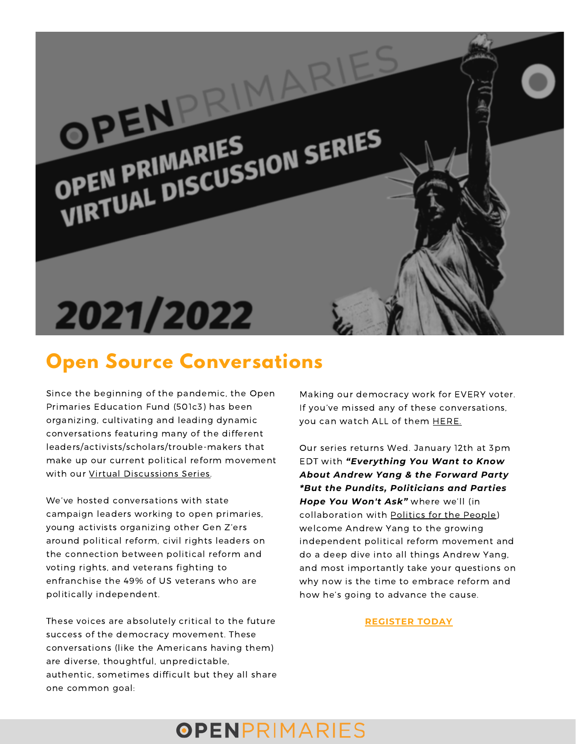

#### **Open Source Conversations**

Since the beginning of the pandemic, the Open Primaries Education Fund (501c3) has been organizing, cultivating and leading dynamic conversations featuring many of the different leaders/activists/scholars/trouble-makers that make up our current political reform movement with our Virtual [Discussions](https://www.openprimaries.org/r?u=GQ96LxW7tJscudkL8mlwNz-2QQLdqgZllGwfJhIzBpSuWFfQAf0DyfnfwSCXeHP3sB1WWPEnfoL4IDsw6EFNyvU9obRx9eFi2rq08pRbPNQ&e=1ba8323602626f1d0dc89b897f353b0d&utm_source=openprimaries&utm_medium=email&utm_campaign=2021_end_of_year_newsletter&n=18&test_email=1) Series.

We've hosted conversations with state campaign leaders working to open primaries, young activists organizing other Gen Z'ers around political reform, civil rights leaders on the connection between political reform and voting rights, and veterans fighting to enfranchise the 49% of US veterans who are politically independent.

These voices are absolutely critical to the future success of the democracy movement. These conversations (like the Americans having them) are diverse, thoughtful, unpredictable, authentic, sometimes difficult but they all share one common goal:

Making our democracy work for EVERY voter. If you've missed any of these conversations, you can watch ALL of them [HERE.](https://www.openprimaries.org/r?u=GQ96LxW7tJscudkL8mlwNz-2QQLdqgZllGwfJhIzBpSuWFfQAf0DyfnfwSCXeHP3sB1WWPEnfoL4IDsw6EFNyvU9obRx9eFi2rq08pRbPNQ&e=1ba8323602626f1d0dc89b897f353b0d&utm_source=openprimaries&utm_medium=email&utm_campaign=2021_end_of_year_newsletter&n=19&test_email=1)

Our series returns Wed. January 12th at 3pm EDT with *"Everything You Want to Know About Andrew Yang & the Forward Party \*But the Pundits, Politicians and Parties Hope You Won't Ask"* where we'll (in collaboration with Politics for the [People](https://www.openprimaries.org/r?u=j4G7FX9P7DtRKl65zFHld-p1qPysoRHNoyZcguJlY3k&e=1ba8323602626f1d0dc89b897f353b0d&utm_source=openprimaries&utm_medium=email&utm_campaign=2021_end_of_year_newsletter&n=20&test_email=1)) welcome Andrew Yang to the growing independent political reform movement and do a deep dive into all things Andrew Yang, and most importantly take your questions on why now is the time to embrace reform and how he's going to advance the cause.

#### **[REGISTER](https://www.openprimaries.org/r?u=iKj5iuxBXy-0B6ifolAJk-7Mb6lE5uIHFHjDzmPEvfavSaj6EJPjyS1O1LQ_i4NhppDgZoiWjiEqRPGODr3eHNZgzNUoCUkLeyClA44ChcY&e=1ba8323602626f1d0dc89b897f353b0d&utm_source=openprimaries&utm_medium=email&utm_campaign=2021_end_of_year_newsletter&n=21&test_email=1) TODAY**